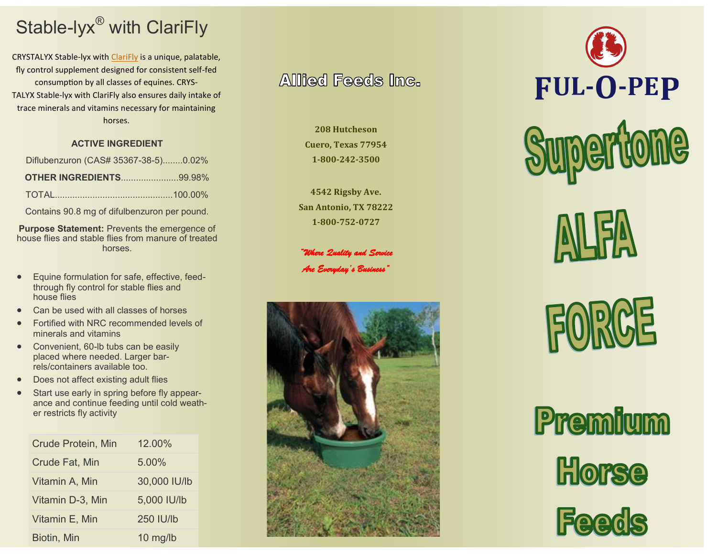# Stable-lyx® with ClariFly

CRYSTALYX Stable-lyx with [ClariFly](https://www.crystalyx.com/research/fly-control/clarifly/) is a unique, palatable, fly control supplement designed for consistent self-fed consumption by all classes of equines. CRYS-TALYX Stable-lyx with ClariFly also ensures daily intake of trace minerals and vitamins necessary for maintaining horses.

## **ACTIVE INGREDIENT**

| Diflubenzuron (CAS# 35367-38-5)0.02% |  |
|--------------------------------------|--|
| <b>OTHER INGREDIENTS99.98%</b>       |  |
|                                      |  |

Contains 90.8 mg of difulbenzuron per pound.

**Purpose Statement:** Prevents the emergence of house flies and stable flies from manure of treated horses.

- Equine formulation for safe, effective, feedthrough fly control for stable flies and house flies
- Can be used with all classes of horses
- Fortified with NRC recommended levels of minerals and vitamins
- Convenient, 60-lb tubs can be easily placed where needed. Larger barrels/containers available too.
- Does not affect existing adult flies
- Start use early in spring before fly appearance and continue feeding until cold weather restricts fly activity

| <b>Crude Protein, Min</b> | 12.00%       |
|---------------------------|--------------|
| <b>Crude Fat, Min</b>     | 5.00%        |
| Vitamin A, Min            | 30,000 IU/lb |
| Vitamin D-3, Min          | 5,000 IU/lb  |
| Vitamin E, Min            | 250 IU/lb    |
| Biotin, Min               | $10$ mg/lb   |

# **Allied Feeds Inc.**

**208 Hutcheson Cuero, Texas 77954 1-800-242-3500**

**4542 Rigsby Ave. San Antonio, TX 78222 1-800-752-0727**

*"Where Quality and Service Are Everyday's Business"* 





**EUJSCE** 

Premium Horse